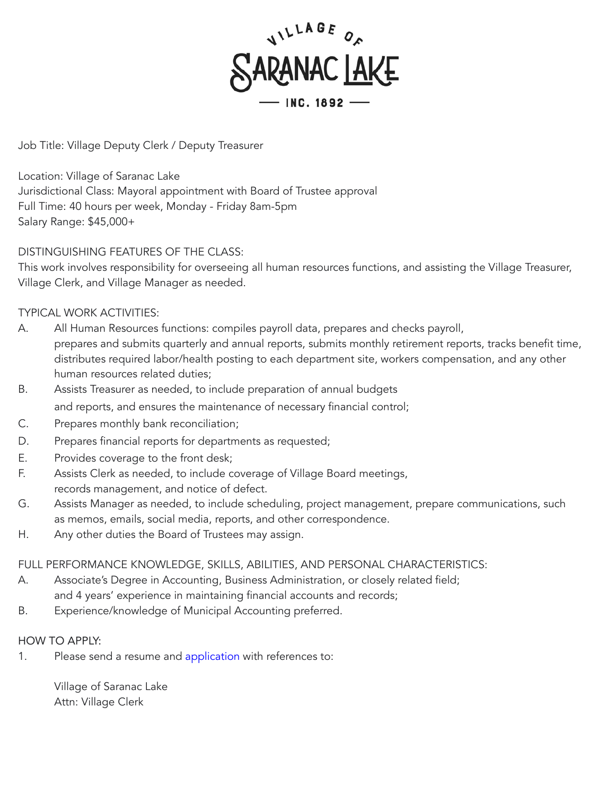

Job Title: Village Deputy Clerk / Deputy Treasurer

Location: Village of Saranac Lake Jurisdictional Class: Mayoral appointment with Board of Trustee approval Full Time: 40 hours per week, Monday - Friday 8am-5pm Salary Range: \$45,000+

## DISTINGUISHING FEATURES OF THE CLASS:

This work involves responsibility for overseeing all human resources functions, and assisting the Village Treasurer, Village Clerk, and Village Manager as needed.

## TYPICAL WORK ACTIVITIES:

- A. All Human Resources functions: compiles payroll data, prepares and checks payroll, prepares and submits quarterly and annual reports, submits monthly retirement reports, tracks benefit time, distributes required labor/health posting to each department site, workers compensation, and any other human resources related duties;
- B. Assists Treasurer as needed, to include preparation of annual budgets and reports, and ensures the maintenance of necessary financial control;
- C. Prepares monthly bank reconciliation;
- D. Prepares financial reports for departments as requested;
- E. Provides coverage to the front desk;
- F. Assists Clerk as needed, to include coverage of Village Board meetings, records management, and notice of defect.
- G. Assists Manager as needed, to include scheduling, project management, prepare communications, such as memos, emails, social media, reports, and other correspondence.
- H. Any other duties the Board of Trustees may assign.

## FULL PERFORMANCE KNOWLEDGE, SKILLS, ABILITIES, AND PERSONAL CHARACTERISTICS:

- A. Associate's Degree in Accounting, Business Administration, or closely related field; and 4 years' experience in maintaining financial accounts and records;
- B. Experience/knowledge of Municipal Accounting preferred.

## HOW TO APPLY:

1. Please send a resume and [application](https://saranaclakeny.gov/corecode/uploads/document6/uploaded_pdfs/corecode/Franklin%20County%20Application%20for%20Exam%20or%20Employment%20(Rev%2010-23-19)_642.pdf) with references to:

Village of Saranac Lake Attn: Village Clerk